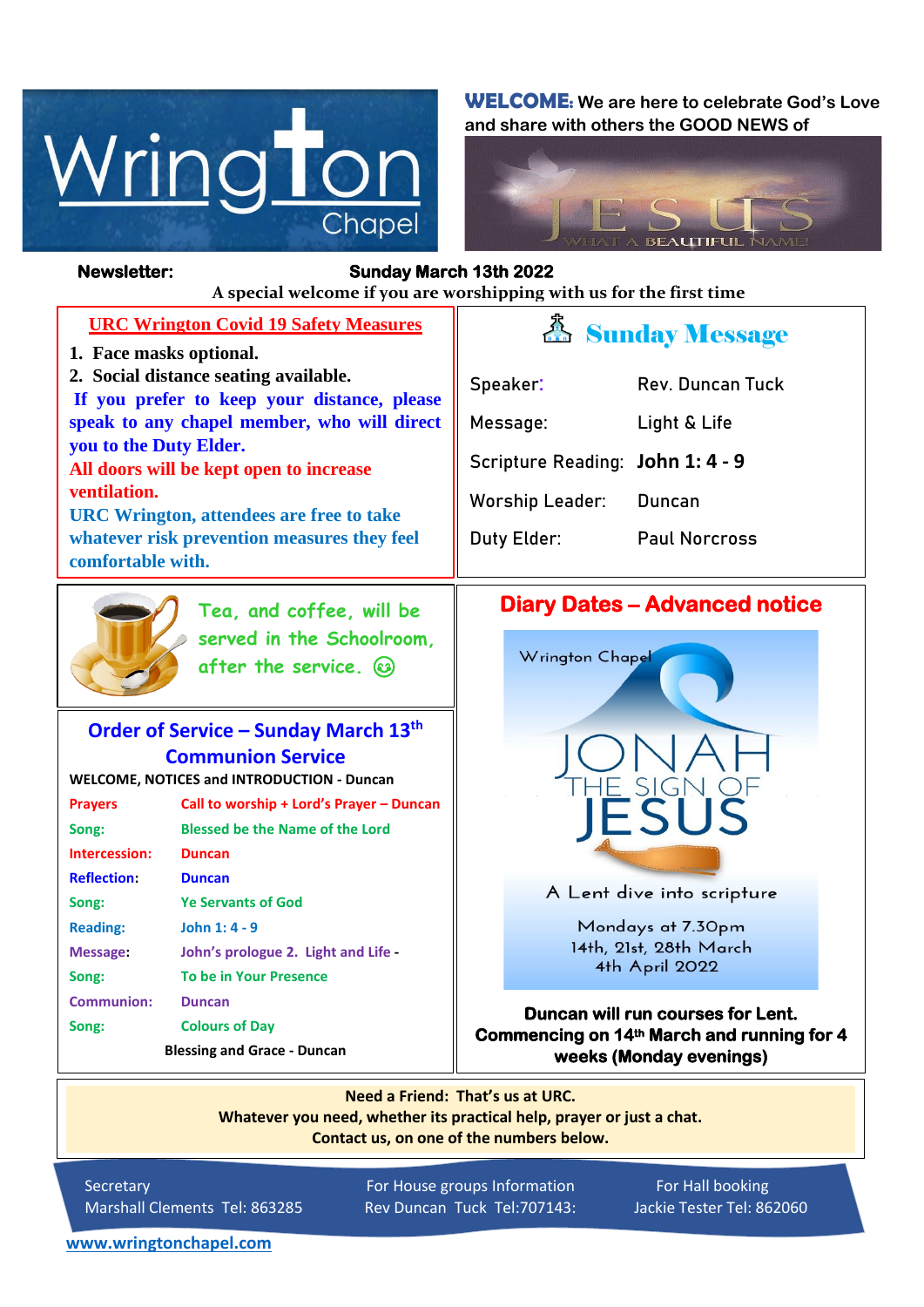

**WELCOME: We are here to celebrate God's Love and share with others the GOOD NEWS of**



 $\overline{a}$ 

#### **Newsletter: Sunday March 13th 2022**

חר

*Figure 1ready steady* **A special welcome if you are worshipping with us for the first time**

| <b>URC Wrington Covid 19 Safety Measures</b>                                                                                                                                                                                                                                                                                                                               |                                                                                |
|----------------------------------------------------------------------------------------------------------------------------------------------------------------------------------------------------------------------------------------------------------------------------------------------------------------------------------------------------------------------------|--------------------------------------------------------------------------------|
| 1. Face masks optional.<br>2. Social distance seating available.<br>If you prefer to keep your distance, please<br>speak to any chapel member, who will direct<br>you to the Duty Elder.<br>All doors will be kept open to increase<br>ventilation.<br><b>URC Wrington, attendees are free to take</b><br>whatever risk prevention measures they feel<br>comfortable with. | Speaker:<br>Message:<br><b>Scripture R</b><br><b>Worship Le</b><br>Duty Elder: |
| Tea, and coffee, will be                                                                                                                                                                                                                                                                                                                                                   | <b>Diary</b>                                                                   |
| served in the Schoolroom,<br>after the service. (3)                                                                                                                                                                                                                                                                                                                        | Wrinc                                                                          |
|                                                                                                                                                                                                                                                                                                                                                                            |                                                                                |

### **Order of Service – Sunday March 13th Communion Service**

**WELCOME, NOTICES and INTRODUCTION - Duncan**

| <b>Prayers</b>                     | Call to worship + Lord's Prayer - Duncan |  |
|------------------------------------|------------------------------------------|--|
| Song:                              | <b>Blessed be the Name of the Lord</b>   |  |
| Intercession:                      | <b>Duncan</b>                            |  |
| <b>Reflection:</b>                 | <b>Duncan</b>                            |  |
| Song:                              | <b>Ye Servants of God</b>                |  |
| <b>Reading:</b>                    | John 1: 4 - 9                            |  |
| Message:                           | John's prologue 2. Light and Life -      |  |
| Song:                              | <b>To be in Your Presence</b>            |  |
| <b>Communion:</b>                  | <b>Duncan</b>                            |  |
| Song:                              | <b>Colours of Day</b>                    |  |
| <b>Blessing and Grace - Duncan</b> |                                          |  |

# Sunday Message

| Speaker:                         | Rev. Duncan Tuck     |
|----------------------------------|----------------------|
| Message:                         | Light & Life         |
| Scripture Reading: John 1: 4 - 9 |                      |
| Worship Leader:                  | Duncan               |
| Duty Elder:                      | <b>Paul Norcross</b> |

# **Dates – Advanced notice**



A Lent dive into scripture

Mondays at 7.30pm 14th, 21st, 28th March 4th April 2022

**Duncan will run courses for Lent. Commencing on 14th March and running for 4 weeks (Monday evenings)**

**Need a Friend: That's us at URC. Whatever you need, whether its practical help, prayer or just a chat. Contact us, on one of the numbers below.**

Secretary For House groups Information For Hall booking Marshall Clements Tel: 863285 Rev Duncan Tuck Tel:707143: Jackie Tester Tel: 862060

**[www.wringtonchapel.com](http://www.wringtonchapel.com/)**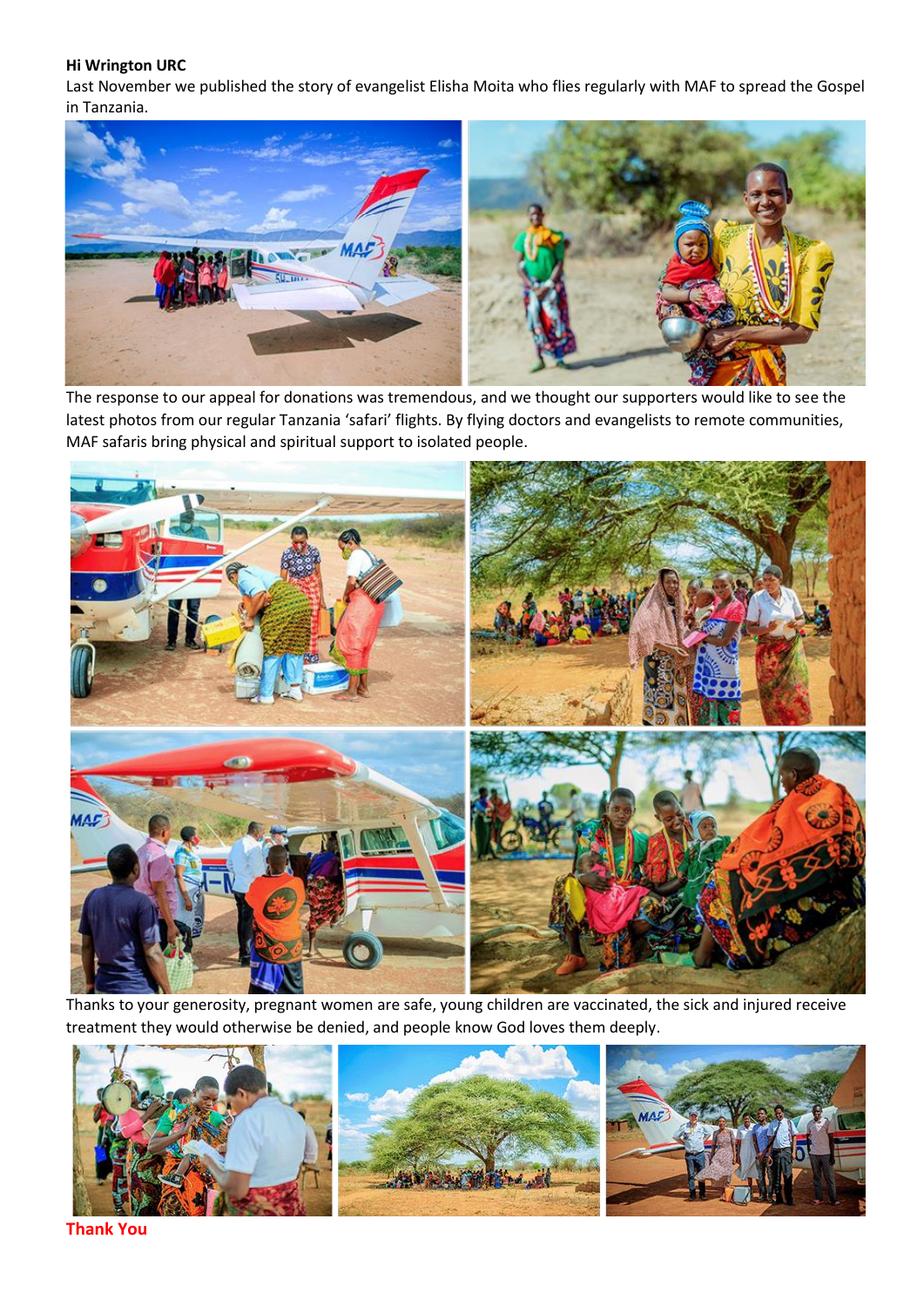#### **Hi Wrington URC**

Last November we published the story of evangelist Elisha Moita who flies regularly with MAF to spread the Gospel in Tanzania.



The response to our appeal for donations was tremendous, and we thought our supporters would like to see the latest photos from our regular Tanzania 'safari' flights. By flying doctors and evangelists to remote communities, MAF safaris bring physical and spiritual support to isolated people.



Thanks to your generosity, pregnant women are safe, young children are vaccinated, the sick and injured receive treatment they would otherwise be denied, and people know God loves them deeply.



**Thank You**